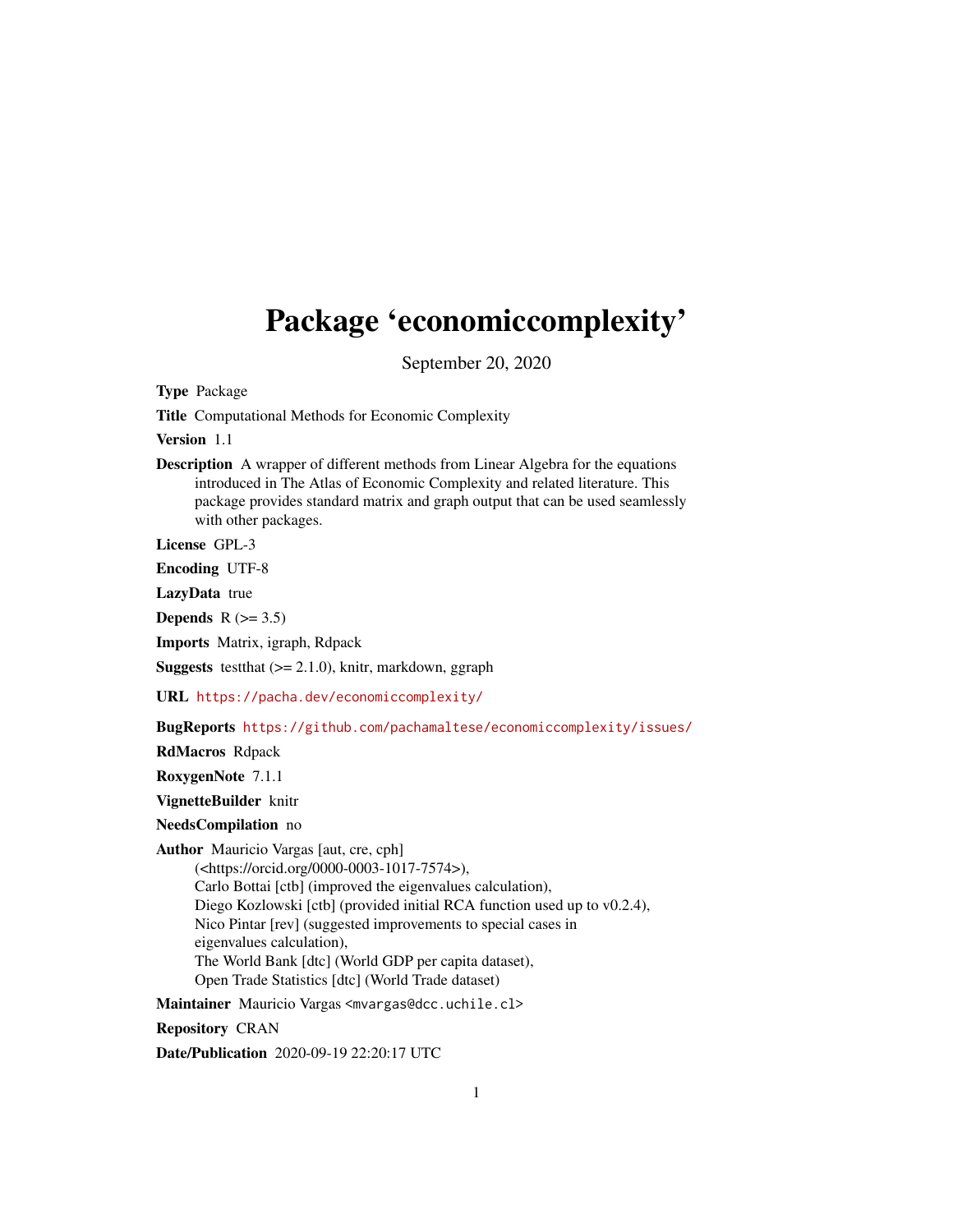## Package 'economiccomplexity'

September 20, 2020

Type Package

Title Computational Methods for Economic Complexity

Version 1.1

Description A wrapper of different methods from Linear Algebra for the equations introduced in The Atlas of Economic Complexity and related literature. This package provides standard matrix and graph output that can be used seamlessly with other packages.

License GPL-3

Encoding UTF-8

LazyData true

Depends  $R$  ( $> = 3.5$ )

Imports Matrix, igraph, Rdpack

**Suggests** testthat  $(>= 2.1.0)$ , knitr, markdown, ggraph

URL <https://pacha.dev/economiccomplexity/>

BugReports <https://github.com/pachamaltese/economiccomplexity/issues/>

RdMacros Rdpack

RoxygenNote 7.1.1

VignetteBuilder knitr

NeedsCompilation no

Author Mauricio Vargas [aut, cre, cph]

(<https://orcid.org/0000-0003-1017-7574>), Carlo Bottai [ctb] (improved the eigenvalues calculation), Diego Kozlowski [ctb] (provided initial RCA function used up to v0.2.4), Nico Pintar [rev] (suggested improvements to special cases in eigenvalues calculation), The World Bank [dtc] (World GDP per capita dataset), Open Trade Statistics [dtc] (World Trade dataset)

Maintainer Mauricio Vargas <mvargas@dcc.uchile.cl>

Repository CRAN

Date/Publication 2020-09-19 22:20:17 UTC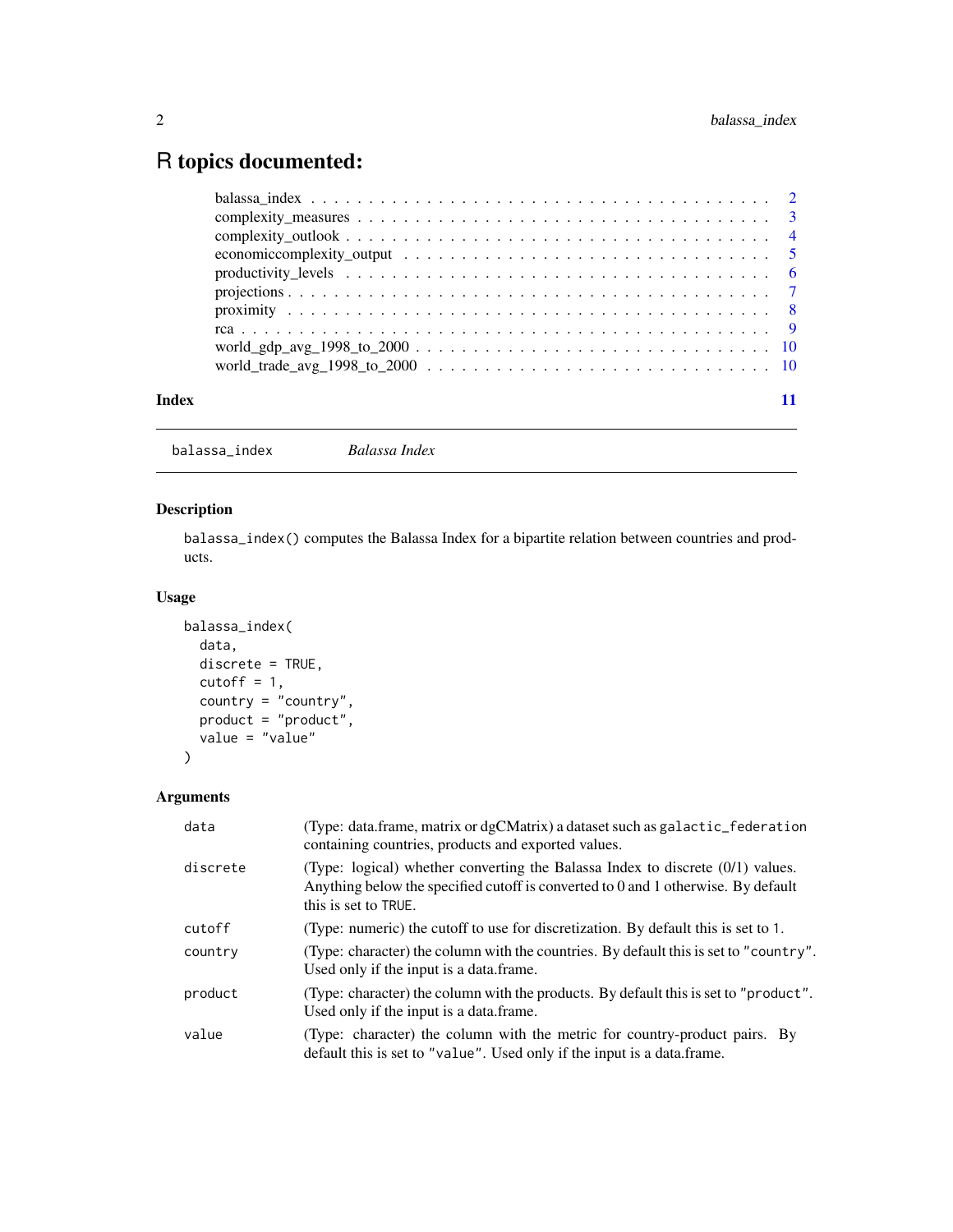### <span id="page-1-0"></span>R topics documented:

| Index |  |
|-------|--|
|       |  |

balassa\_index *Balassa Index*

#### Description

balassa\_index() computes the Balassa Index for a bipartite relation between countries and products.

#### Usage

```
balassa_index(
 data,
 discrete = TRUE,
 cutoff = 1,country = "country",
 product = "product",
 value = "value"
)
```
### Arguments

| data     | (Type: data.frame, matrix or dgCMatrix) a dataset such as galactic_federation<br>containing countries, products and exported values.                                                        |
|----------|---------------------------------------------------------------------------------------------------------------------------------------------------------------------------------------------|
| discrete | (Type: logical) whether converting the Balassa Index to discrete (0/1) values.<br>Anything below the specified cutoff is converted to 0 and 1 otherwise. By default<br>this is set to TRUE. |
| cutoff   | (Type: numeric) the cutoff to use for discretization. By default this is set to 1.                                                                                                          |
| country  | (Type: character) the column with the countries. By default this is set to "country".<br>Used only if the input is a data.frame.                                                            |
| product  | (Type: character) the column with the products. By default this is set to "product".<br>Used only if the input is a data.frame.                                                             |
| value    | (Type: character) the column with the metric for country-product pairs. By<br>default this is set to "value". Used only if the input is a data frame.                                       |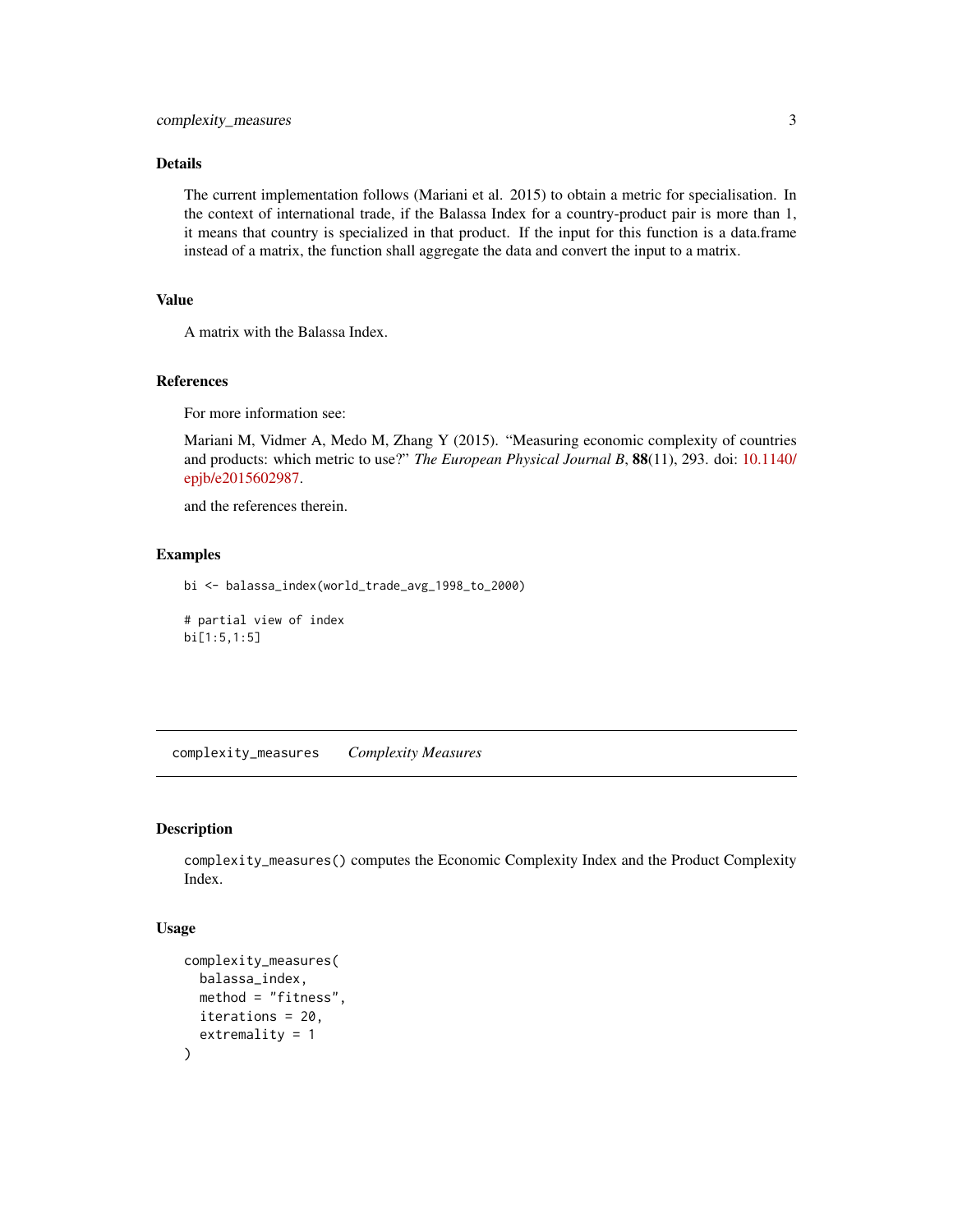#### <span id="page-2-0"></span>Details

The current implementation follows (Mariani et al. 2015) to obtain a metric for specialisation. In the context of international trade, if the Balassa Index for a country-product pair is more than 1, it means that country is specialized in that product. If the input for this function is a data.frame instead of a matrix, the function shall aggregate the data and convert the input to a matrix.

#### Value

A matrix with the Balassa Index.

#### References

For more information see:

Mariani M, Vidmer A, Medo M, Zhang Y (2015). "Measuring economic complexity of countries and products: which metric to use?" *The European Physical Journal B*, 88(11), 293. doi: [10.1140/](https://doi.org/10.1140/epjb/e2015-60298-7) [epjb/e2015602987.](https://doi.org/10.1140/epjb/e2015-60298-7)

and the references therein.

#### Examples

bi <- balassa\_index(world\_trade\_avg\_1998\_to\_2000)

# partial view of index bi[1:5,1:5]

complexity\_measures *Complexity Measures*

#### Description

complexity\_measures() computes the Economic Complexity Index and the Product Complexity Index.

#### Usage

```
complexity_measures(
 balassa_index,
 method = "fitness",
 iterations = 20,
  extremality = 1
)
```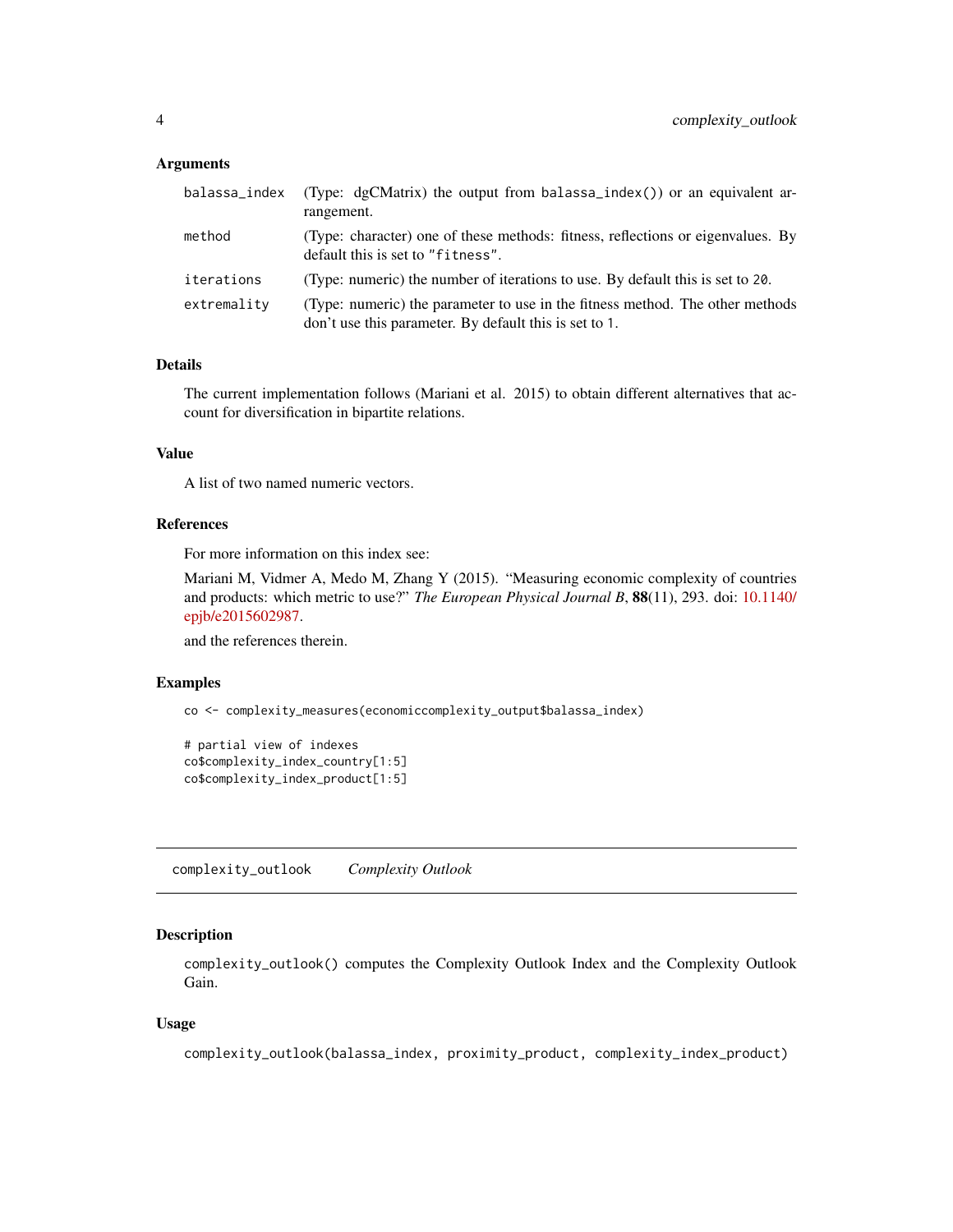#### <span id="page-3-0"></span>Arguments

| balassa_index | (Type: dgCMatrix) the output from balassa_index()) or an equivalent ar-<br>rangement.                                                   |
|---------------|-----------------------------------------------------------------------------------------------------------------------------------------|
| method        | (Type: character) one of these methods: fitness, reflections or eigenvalues. By<br>default this is set to "fitness".                    |
| iterations    | (Type: numeric) the number of iterations to use. By default this is set to 20.                                                          |
| extremality   | (Type: numeric) the parameter to use in the fitness method. The other methods<br>don't use this parameter. By default this is set to 1. |

#### Details

The current implementation follows (Mariani et al. 2015) to obtain different alternatives that account for diversification in bipartite relations.

#### Value

A list of two named numeric vectors.

#### References

For more information on this index see:

Mariani M, Vidmer A, Medo M, Zhang Y (2015). "Measuring economic complexity of countries and products: which metric to use?" *The European Physical Journal B*, 88(11), 293. doi: [10.1140/](https://doi.org/10.1140/epjb/e2015-60298-7) [epjb/e2015602987.](https://doi.org/10.1140/epjb/e2015-60298-7)

and the references therein.

#### Examples

```
co <- complexity_measures(economiccomplexity_output$balassa_index)
```

```
# partial view of indexes
co$complexity_index_country[1:5]
co$complexity_index_product[1:5]
```
complexity\_outlook *Complexity Outlook*

#### Description

complexity\_outlook() computes the Complexity Outlook Index and the Complexity Outlook Gain.

#### Usage

```
complexity_outlook(balassa_index, proximity_product, complexity_index_product)
```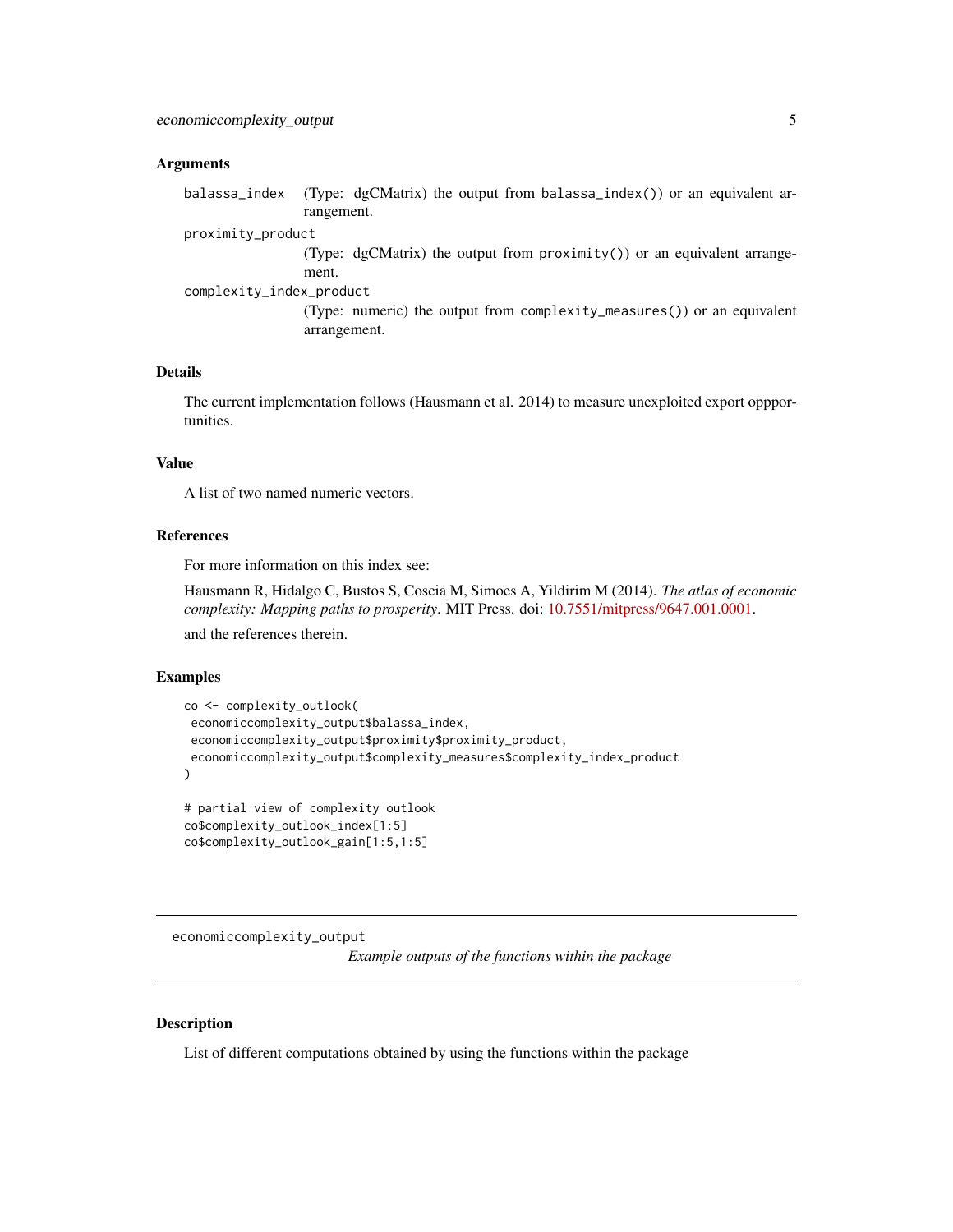#### <span id="page-4-0"></span>Arguments

balassa\_index (Type: dgCMatrix) the output from balassa\_index()) or an equivalent arrangement.

proximity\_product

(Type: dgCMatrix) the output from proximity()) or an equivalent arrangement.

complexity\_index\_product

(Type: numeric) the output from complexity\_measures()) or an equivalent arrangement.

#### Details

The current implementation follows (Hausmann et al. 2014) to measure unexploited export oppportunities.

#### Value

A list of two named numeric vectors.

#### References

For more information on this index see:

Hausmann R, Hidalgo C, Bustos S, Coscia M, Simoes A, Yildirim M (2014). *The atlas of economic complexity: Mapping paths to prosperity*. MIT Press. doi: [10.7551/mitpress/9647.001.0001.](https://doi.org/10.7551/mitpress/9647.001.0001)

and the references therein.

#### Examples

```
co <- complexity_outlook(
economiccomplexity_output$balassa_index,
economiccomplexity_output$proximity$proximity_product,
economiccomplexity_output$complexity_measures$complexity_index_product
\mathcal{L}# partial view of complexity outlook
co$complexity_outlook_index[1:5]
```
co\$complexity\_outlook\_gain[1:5,1:5]

economiccomplexity\_output

*Example outputs of the functions within the package*

#### Description

List of different computations obtained by using the functions within the package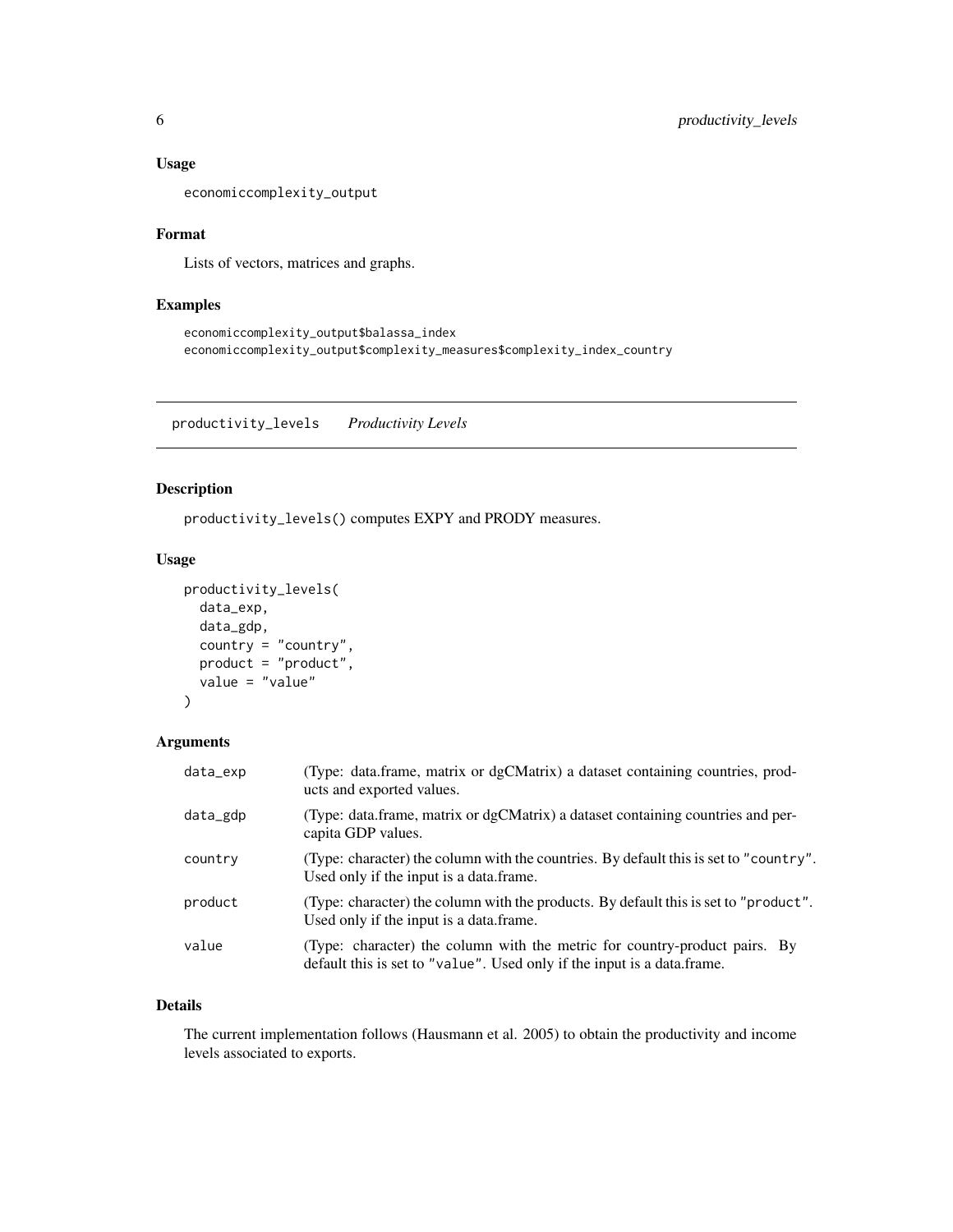#### <span id="page-5-0"></span>Usage

economiccomplexity\_output

#### Format

Lists of vectors, matrices and graphs.

#### Examples

```
economiccomplexity_output$balassa_index
economiccomplexity_output$complexity_measures$complexity_index_country
```
productivity\_levels *Productivity Levels*

#### Description

productivity\_levels() computes EXPY and PRODY measures.

#### Usage

```
productivity_levels(
  data_exp,
  data_gdp,
  country = "country",
 product = "product",
  value = "value"
)
```
#### Arguments

| data_exp | (Type: data.frame, matrix or dgCMatrix) a dataset containing countries, prod-<br>ucts and exported values.                                            |
|----------|-------------------------------------------------------------------------------------------------------------------------------------------------------|
| data_gdp | (Type: data.frame, matrix or dgCMatrix) a dataset containing countries and per-<br>capita GDP values.                                                 |
| country  | (Type: character) the column with the countries. By default this is set to "country".<br>Used only if the input is a data.frame.                      |
| product  | (Type: character) the column with the products. By default this is set to "product".<br>Used only if the input is a data.frame.                       |
| value    | (Type: character) the column with the metric for country-product pairs. By<br>default this is set to "value". Used only if the input is a data frame. |

#### Details

The current implementation follows (Hausmann et al. 2005) to obtain the productivity and income levels associated to exports.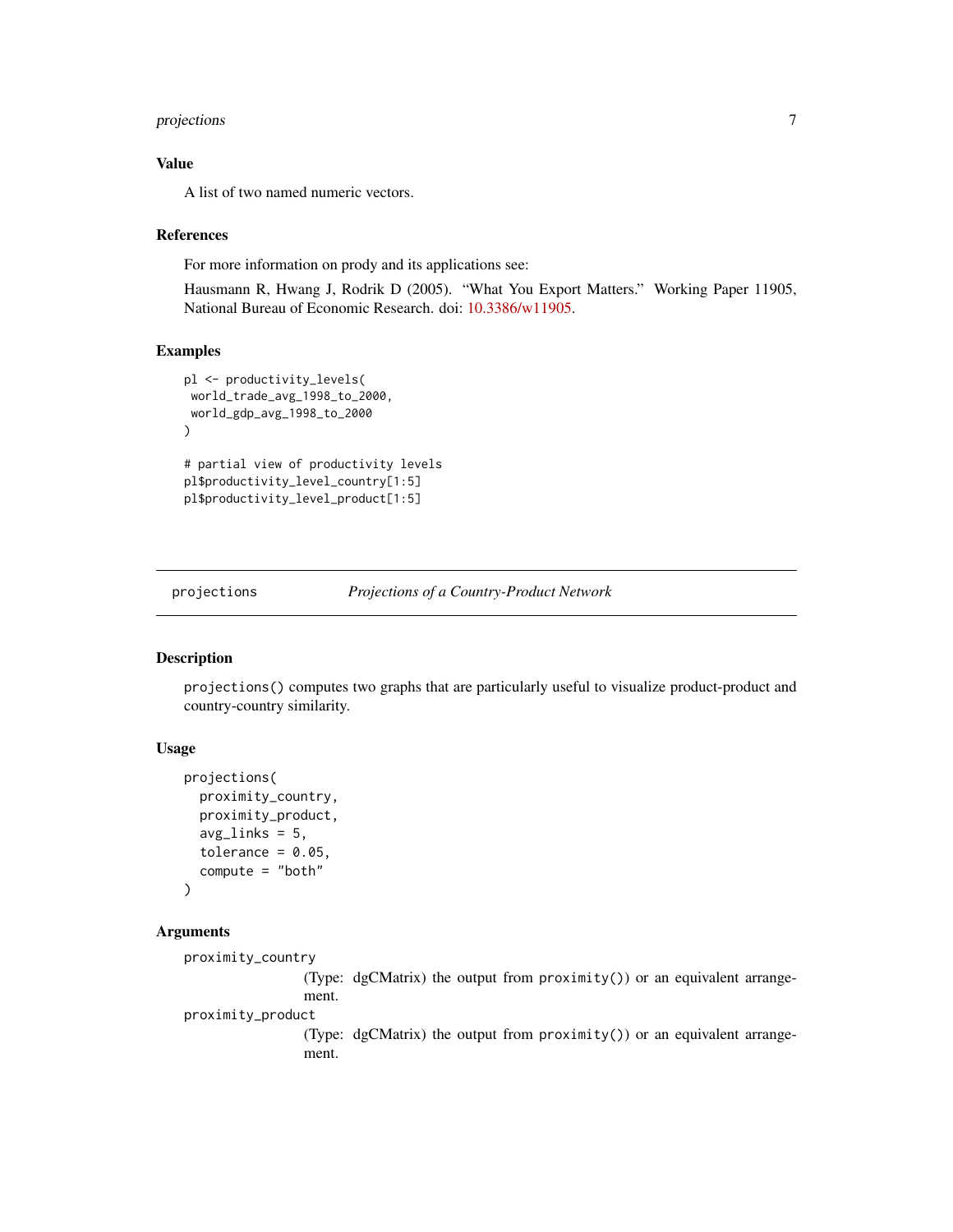#### <span id="page-6-0"></span>projections 7

#### Value

A list of two named numeric vectors.

#### References

For more information on prody and its applications see:

Hausmann R, Hwang J, Rodrik D (2005). "What You Export Matters." Working Paper 11905, National Bureau of Economic Research. doi: [10.3386/w11905.](https://doi.org/10.3386/w11905)

#### Examples

```
pl <- productivity_levels(
world_trade_avg_1998_to_2000,
world_gdp_avg_1998_to_2000
\mathcal{L}# partial view of productivity levels
pl$productivity_level_country[1:5]
pl$productivity_level_product[1:5]
```
projections *Projections of a Country-Product Network*

#### Description

projections() computes two graphs that are particularly useful to visualize product-product and country-country similarity.

#### Usage

```
projections(
  proximity_country,
  proximity_product,
  avg\_links = 5,
  tolerance = 0.05,
  compute = "both"
)
```
#### Arguments

```
proximity_country
```
(Type: dgCMatrix) the output from proximity()) or an equivalent arrangement.

proximity\_product

(Type: dgCMatrix) the output from proximity()) or an equivalent arrangement.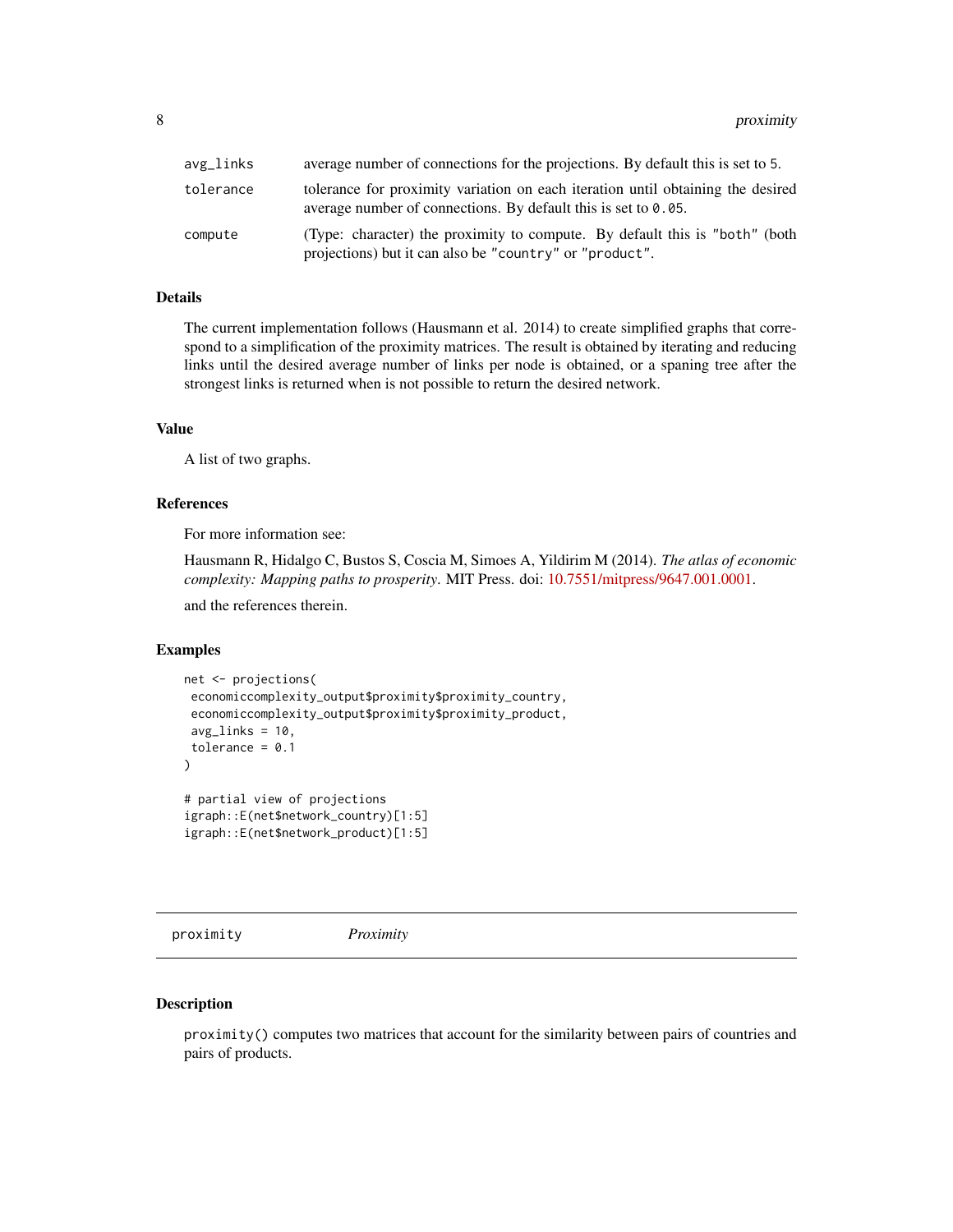<span id="page-7-0"></span>

| avg_links | average number of connections for the projections. By default this is set to 5.                                                                      |
|-----------|------------------------------------------------------------------------------------------------------------------------------------------------------|
| tolerance | tolerance for proximity variation on each iteration until obtaining the desired<br>average number of connections. By default this is set to $0.05$ . |
| compute   | (Type: character) the proximity to compute. By default this is "both" (both<br>projections) but it can also be "country" or "product".               |

#### Details

The current implementation follows (Hausmann et al. 2014) to create simplified graphs that correspond to a simplification of the proximity matrices. The result is obtained by iterating and reducing links until the desired average number of links per node is obtained, or a spaning tree after the strongest links is returned when is not possible to return the desired network.

#### Value

A list of two graphs.

#### References

For more information see:

Hausmann R, Hidalgo C, Bustos S, Coscia M, Simoes A, Yildirim M (2014). *The atlas of economic complexity: Mapping paths to prosperity*. MIT Press. doi: [10.7551/mitpress/9647.001.0001.](https://doi.org/10.7551/mitpress/9647.001.0001)

and the references therein.

#### Examples

```
net <- projections(
economiccomplexity_output$proximity$proximity_country,
 economiccomplexity_output$proximity$proximity_product,
avg\_links = 10,
tolerance = 0.1)
# partial view of projections
igraph::E(net$network_country)[1:5]
igraph::E(net$network_product)[1:5]
```
proximity *Proximity*

#### Description

proximity() computes two matrices that account for the similarity between pairs of countries and pairs of products.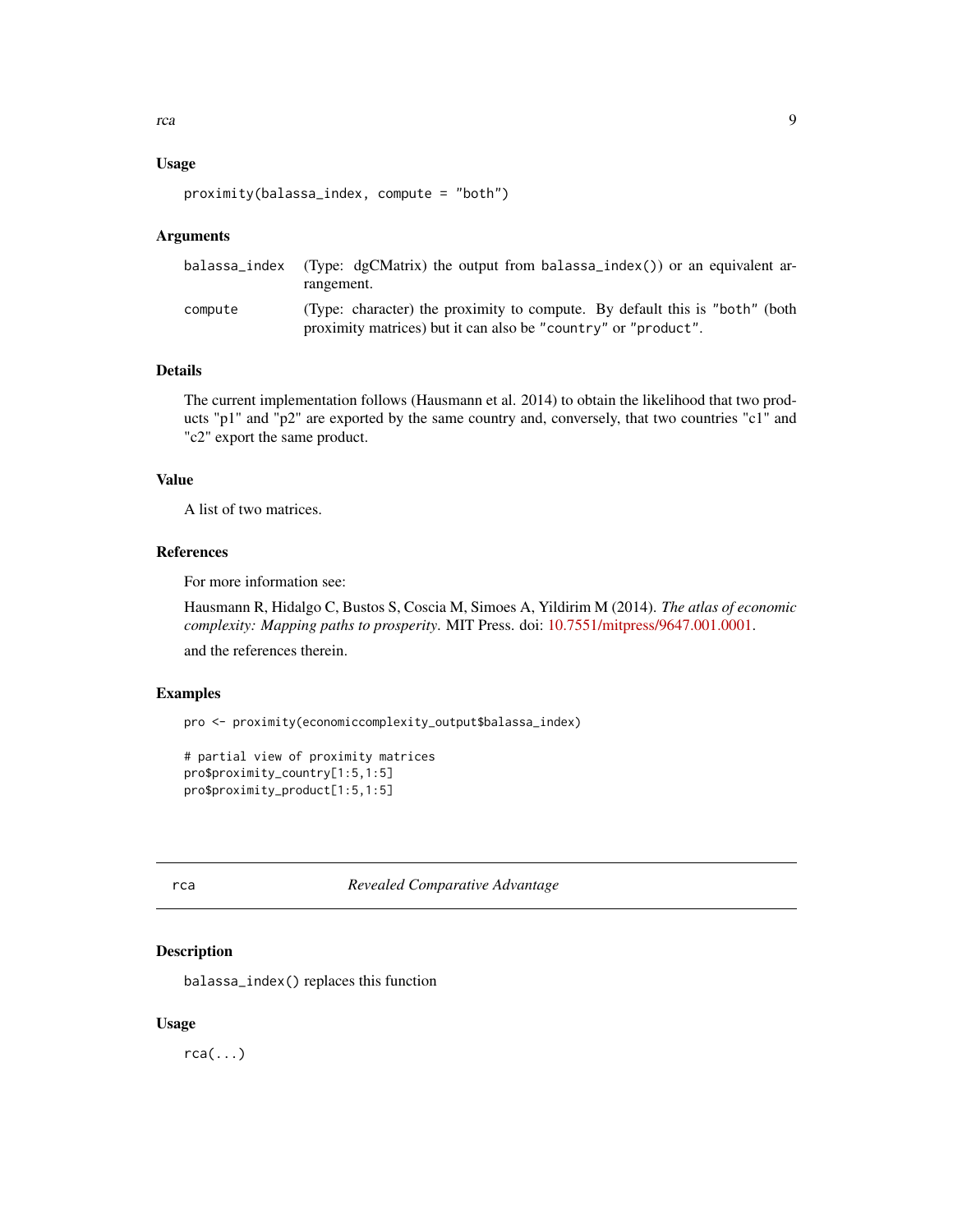#### <span id="page-8-0"></span>Usage

```
proximity(balassa_index, compute = "both")
```
#### Arguments

|         | balassa_index (Type: dgCMatrix) the output from balassa_index()) or an equivalent ar-<br>rangement.                                             |
|---------|-------------------------------------------------------------------------------------------------------------------------------------------------|
| compute | (Type: character) the proximity to compute. By default this is "both" (both")<br>proximity matrices) but it can also be "country" or "product". |

#### Details

The current implementation follows (Hausmann et al. 2014) to obtain the likelihood that two products "p1" and "p2" are exported by the same country and, conversely, that two countries "c1" and "c2" export the same product.

#### Value

A list of two matrices.

#### References

For more information see:

Hausmann R, Hidalgo C, Bustos S, Coscia M, Simoes A, Yildirim M (2014). *The atlas of economic complexity: Mapping paths to prosperity*. MIT Press. doi: [10.7551/mitpress/9647.001.0001.](https://doi.org/10.7551/mitpress/9647.001.0001)

and the references therein.

#### Examples

```
pro <- proximity(economiccomplexity_output$balassa_index)
```

```
# partial view of proximity matrices
pro$proximity_country[1:5,1:5]
pro$proximity_product[1:5,1:5]
```
#### rca *Revealed Comparative Advantage*

#### Description

balassa\_index() replaces this function

#### Usage

 $rca(...)$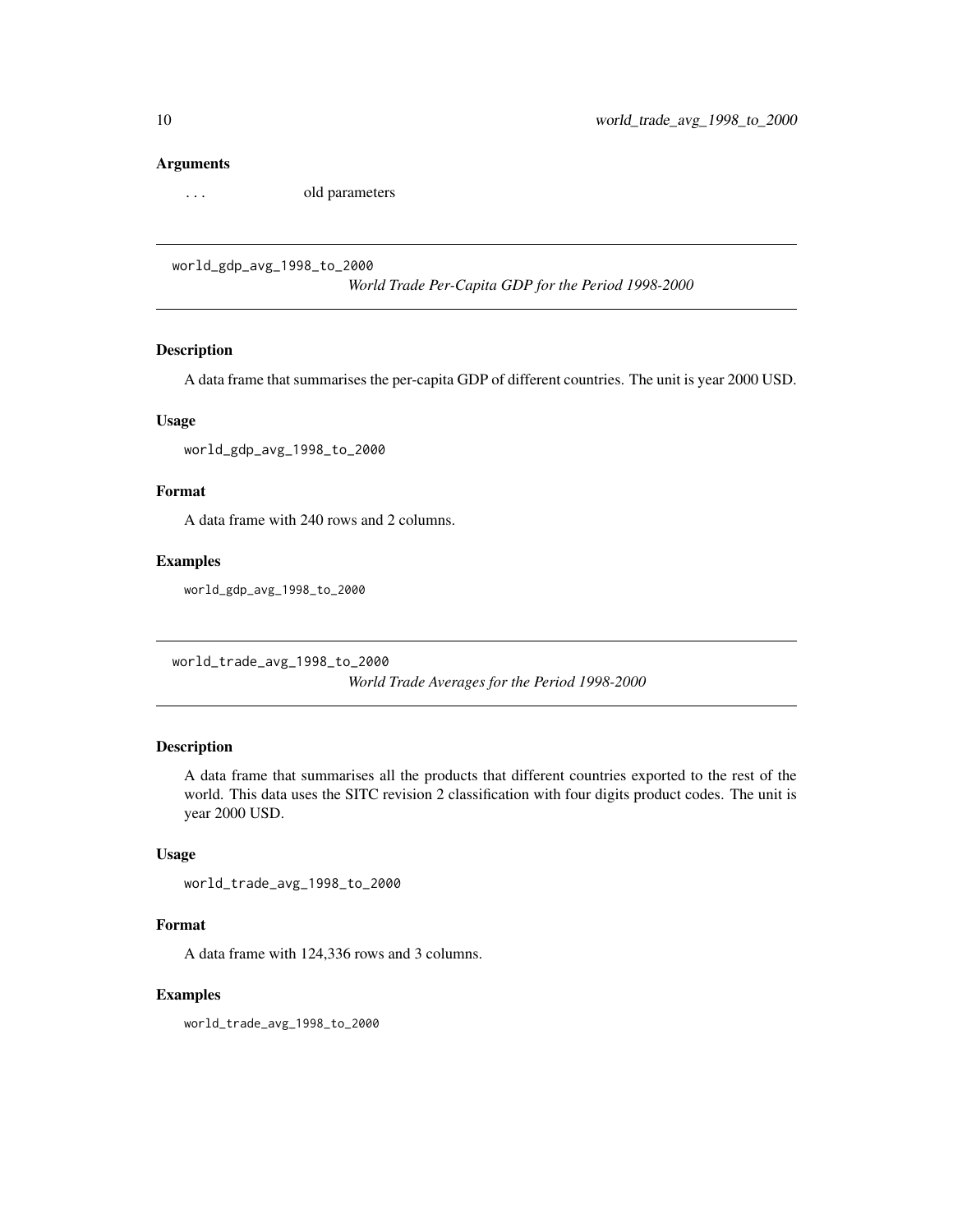#### <span id="page-9-0"></span>Arguments

... old parameters

world\_gdp\_avg\_1998\_to\_2000

*World Trade Per-Capita GDP for the Period 1998-2000*

#### Description

A data frame that summarises the per-capita GDP of different countries. The unit is year 2000 USD.

#### Usage

world\_gdp\_avg\_1998\_to\_2000

#### Format

A data frame with 240 rows and 2 columns.

#### Examples

world\_gdp\_avg\_1998\_to\_2000

world\_trade\_avg\_1998\_to\_2000

*World Trade Averages for the Period 1998-2000*

#### Description

A data frame that summarises all the products that different countries exported to the rest of the world. This data uses the SITC revision 2 classification with four digits product codes. The unit is year 2000 USD.

#### Usage

```
world_trade_avg_1998_to_2000
```
#### Format

A data frame with 124,336 rows and 3 columns.

#### Examples

world\_trade\_avg\_1998\_to\_2000